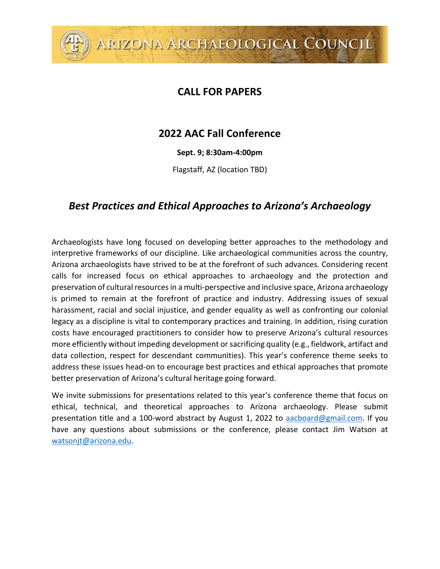## **CALL FOR PAPERS**

ARIZONA ARCHAEOLOGICAL COUNCIL

## **2022 AAC Fall Conference**

**Sept. 9; 8:30am-4:00pm**

Flagstaff, AZ (location TBD)

## *Best Practices and Ethical Approaches to Arizona's Archaeology*

Archaeologists have long focused on developing better approaches to the methodology and interpretive frameworks of our discipline. Like archaeological communities across the country, Arizona archaeologists have strived to be at the forefront of such advances. Considering recent calls for increased focus on ethical approaches to archaeology and the protection and preservation of cultural resourcesin a multi-perspective and inclusive space, Arizona archaeology is primed to remain at the forefront of practice and industry. Addressing issues of sexual harassment, racial and social injustice, and gender equality as well as confronting our colonial legacy as a discipline is vital to contemporary practices and training. In addition, rising curation costs have encouraged practitioners to consider how to preserve Arizona's cultural resources more efficiently without impeding development or sacrificing quality (e.g., fieldwork, artifact and data collection, respect for descendant communities). This year's conference theme seeks to address these issues head-on to encourage best practices and ethical approaches that promote better preservation of Arizona's cultural heritage going forward.

We invite submissions for presentations related to this year's conference theme that focus on ethical, technical, and theoretical approaches to Arizona archaeology. Please submit presentation title and a 100-word abstract by August 1, 2022 to [aacboard@gmail.com.](mailto:aacboard@gmail.com) If you have any questions about submissions or the conference, please contact Jim Watson at [watsonjt@arizona.edu.](mailto:watsonjt@arizona.edu)